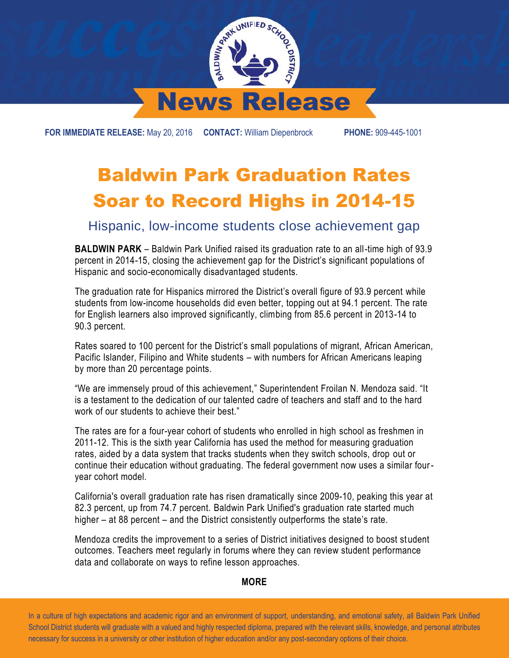

**FOR IMMEDIATE RELEASE:** May 20, 2016 **CONTACT:** William Diepenbrock **PHONE:** 909-445-1001

## Baldwin Park Graduation Rates Soar to Record Highs in 2014-15

Hispanic, low-income students close achievement gap

**BALDWIN PARK** – Baldwin Park Unified raised its graduation rate to an all-time high of 93.9 percent in 2014-15, closing the achievement gap for the District's significant populations of Hispanic and socio-economically disadvantaged students.

The graduation rate for Hispanics mirrored the District's overall figure of 93.9 percent while students from low-income households did even better, topping out at 94.1 percent. The rate for English learners also improved significantly, climbing from 85.6 percent in 2013-14 to 90.3 percent.

Rates soared to 100 percent for the District's small populations of migrant, African American, Pacific Islander, Filipino and White students – with numbers for African Americans leaping by more than 20 percentage points.

"We are immensely proud of this achievement," Superintendent Froilan N. Mendoza said. "It is a testament to the dedication of our talented cadre of teachers and staff and to the hard work of our students to achieve their best."

The rates are for a four-year cohort of students who enrolled in high school as freshmen in 2011-12. This is the sixth year California has used the method for measuring graduation rates, aided by a data system that tracks students when they switch schools, drop out or continue their education without graduating. The federal government now uses a similar fouryear cohort model.

California's overall graduation rate has risen dramatically since 2009-10, peaking this year at 82.3 percent, up from 74.7 percent. Baldwin Park Unified's graduation rate started much higher – at 88 percent – and the District consistently outperforms the state's rate.

Mendoza credits the improvement to a series of District initiatives designed to boost st udent outcomes. Teachers meet regularly in forums where they can review student performance data and collaborate on ways to refine lesson approaches.

## **MORE**

 In a culture of high expectations and academic rigor and an environment of support, understanding, and emotional safety, all Baldwin Park Unified School District students will graduate with a valued and highly respected diploma, prepared with the relevant skills, knowledge, and personal attributes necessary for success in a university or other institution of higher education and/or any post-secondary options of their choice.